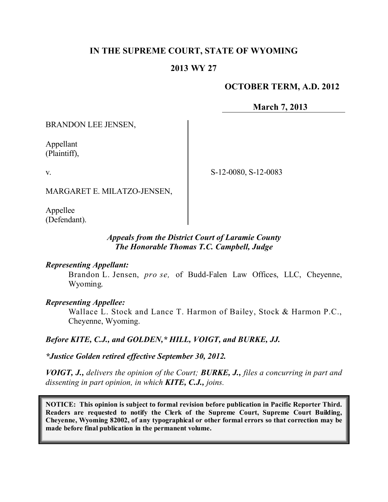# **IN THE SUPREME COURT, STATE OF WYOMING**

#### **2013 WY 27**

## **OCTOBER TERM, A.D. 2012**

**March 7, 2013**

BRANDON LEE JENSEN,

Appellant (Plaintiff),

v.

S-12-0080, S-12-0083

MARGARET E. MILATZO-JENSEN,

Appellee (Defendant).

#### *Appeals from the District Court of Laramie County The Honorable Thomas T.C. Campbell, Judge*

#### *Representing Appellant:*

Brandon L. Jensen, *pro se,* of Budd-Falen Law Offices, LLC, Cheyenne, Wyoming.

#### *Representing Appellee:*

Wallace L. Stock and Lance T. Harmon of Bailey, Stock & Harmon P.C., Cheyenne, Wyoming.

*Before KITE, C.J., and GOLDEN,\* HILL, VOIGT, and BURKE, JJ.*

*\*Justice Golden retired effective September 30, 2012.*

*VOIGT, J., delivers the opinion of the Court; BURKE, J., files a concurring in part and dissenting in part opinion, in which KITE, C.J., joins.*

**NOTICE: This opinion is subject to formal revision before publication in Pacific Reporter Third. Readers are requested to notify the Clerk of the Supreme Court, Supreme Court Building, Cheyenne, Wyoming 82002, of any typographical or other formal errors so that correction may be made before final publication in the permanent volume.**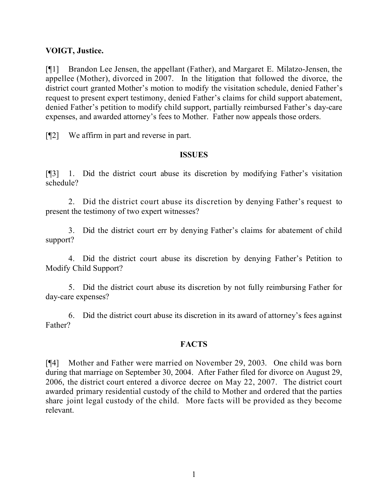## **VOIGT, Justice.**

[¶1] Brandon Lee Jensen, the appellant (Father), and Margaret E. Milatzo-Jensen, the appellee (Mother), divorced in 2007. In the litigation that followed the divorce, the district court granted Mother's motion to modify the visitation schedule, denied Father's request to present expert testimony, denied Father's claims for child support abatement, denied Father's petition to modify child support, partially reimbursed Father's day-care expenses, and awarded attorney's fees to Mother. Father now appeals those orders.

[¶2] We affirm in part and reverse in part.

#### **ISSUES**

[¶3] 1. Did the district court abuse its discretion by modifying Father's visitation schedule?

2. Did the district court abuse its discretion by denying Father's request to present the testimony of two expert witnesses?

3. Did the district court err by denying Father's claims for abatement of child support?

4. Did the district court abuse its discretion by denying Father's Petition to Modify Child Support?

5. Did the district court abuse its discretion by not fully reimbursing Father for day-care expenses?

6. Did the district court abuse its discretion in its award of attorney's fees against Father?

## **FACTS**

[¶4] Mother and Father were married on November 29, 2003. One child was born during that marriage on September 30, 2004. After Father filed for divorce on August 29, 2006, the district court entered a divorce decree on May 22, 2007. The district court awarded primary residential custody of the child to Mother and ordered that the parties share joint legal custody of the child. More facts will be provided as they become relevant.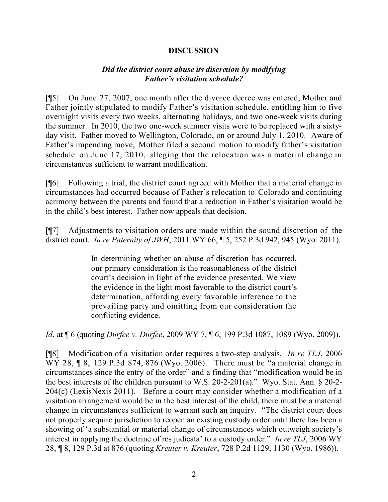## **DISCUSSION**

#### *Did the district court abuse its discretion by modifying Father's visitation schedule?*

[¶5] On June 27, 2007, one month after the divorce decree was entered, Mother and Father jointly stipulated to modify Father's visitation schedule, entitling him to five overnight visits every two weeks, alternating holidays, and two one-week visits during the summer. In 2010, the two one-week summer visits were to be replaced with a sixtyday visit. Father moved to Wellington, Colorado, on or around July 1, 2010. Aware of Father's impending move, Mother filed a second motion to modify father's visitation schedule on June 17, 2010, alleging that the relocation was a material change in circumstances sufficient to warrant modification.

[¶6] Following a trial, the district court agreed with Mother that a material change in circumstances had occurred because of Father's relocation to Colorado and continuing acrimony between the parents and found that a reduction in Father's visitation would be in the child's best interest. Father now appeals that decision.

[¶7] Adjustments to visitation orders are made within the sound discretion of the district court. *In re Paternity of JWH*, 2011 WY 66, ¶ 5, 252 P.3d 942, 945 (Wyo. 2011).

> In determining whether an abuse of discretion has occurred, our primary consideration is the reasonableness of the district court's decision in light of the evidence presented. We view the evidence in the light most favorable to the district court's determination, affording every favorable inference to the prevailing party and omitting from our consideration the conflicting evidence.

*Id*. at ¶ 6 (quoting *Durfee v. Durfee*, 2009 WY 7, ¶ 6, 199 P.3d 1087, 1089 (Wyo. 2009)).

[¶8] Modification of a visitation order requires a two-step analysis. *In re TLJ*, 2006 WY 28, ¶ 8, 129 P.3d 874, 876 (Wyo. 2006). There must be "a material change in circumstances since the entry of the order" and a finding that "modification would be in the best interests of the children pursuant to W.S. 20-2-201(a)." Wyo. Stat. Ann. § 20-2- 204(c) (LexisNexis 2011). Before a court may consider whether a modification of a visitation arrangement would be in the best interest of the child, there must be a material change in circumstances sufficient to warrant such an inquiry. "The district court does not properly acquire jurisdiction to reopen an existing custody order until there has been a showing of 'a substantial or material change of circumstances which outweigh society's interest in applying the doctrine of res judicata' to a custody order." *In re TLJ*, 2006 WY 28, ¶ 8, 129 P.3d at 876 (quoting *Kreuter v. Kreuter*, 728 P.2d 1129, 1130 (Wyo. 1986)).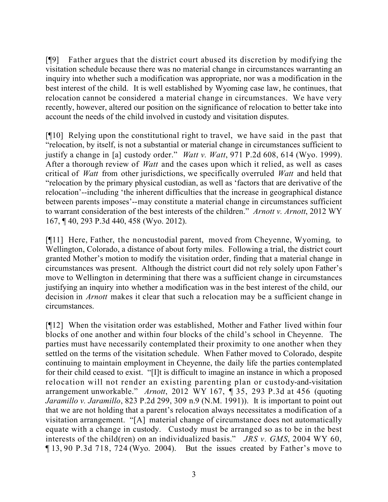[¶9] Father argues that the district court abused its discretion by modifying the visitation schedule because there was no material change in circumstances warranting an inquiry into whether such a modification was appropriate, nor was a modification in the best interest of the child. It is well established by Wyoming case law, he continues, that relocation cannot be considered a material change in circumstances. We have very recently, however, altered our position on the significance of relocation to better take into account the needs of the child involved in custody and visitation disputes.

[¶10] Relying upon the constitutional right to travel, we have said in the past that "relocation, by itself, is not a substantial or material change in circumstances sufficient to justify a change in [a] custody order." *Watt v. Watt*, 971 P.2d 608, 614 (Wyo. 1999). After a thorough review of *Watt* and the cases upon which it relied, as well as cases critical of *Watt* from other jurisdictions, we specifically overruled *Watt* and held that "relocation by the primary physical custodian, as well as 'factors that are derivative of the relocation'--including 'the inherent difficulties that the increase in geographical distance between parents imposes'--may constitute a material change in circumstances sufficient to warrant consideration of the best interests of the children." *Arnott v. Arnott*, 2012 WY 167, ¶ 40, 293 P.3d 440, 458 (Wyo. 2012).

[¶11] Here, Father, the noncustodial parent, moved from Cheyenne, Wyoming, to Wellington, Colorado, a distance of about forty miles. Following a trial, the district court granted Mother's motion to modify the visitation order, finding that a material change in circumstances was present. Although the district court did not rely solely upon Father's move to Wellington in determining that there was a sufficient change in circumstances justifying an inquiry into whether a modification was in the best interest of the child, our decision in *Arnott* makes it clear that such a relocation may be a sufficient change in circumstances.

[¶12] When the visitation order was established, Mother and Father lived within four blocks of one another and within four blocks of the child's school in Cheyenne. The parties must have necessarily contemplated their proximity to one another when they settled on the terms of the visitation schedule. When Father moved to Colorado, despite continuing to maintain employment in Cheyenne, the daily life the parties contemplated for their child ceased to exist. "[I]t is difficult to imagine an instance in which a proposed relocation will not render an existing parenting plan or custody-and-visitation arrangement unworkable." *Arnott*, 2012 WY 167, ¶ 35, 293 P.3d at 456 (quoting *Jaramillo v. Jaramillo*, 823 P.2d 299, 309 n.9 (N.M. 1991)). It is important to point out that we are not holding that a parent's relocation always necessitates a modification of a visitation arrangement. "[A] material change of circumstance does not automatically equate with a change in custody. Custody must be arranged so as to be in the best interests of the child(ren) on an individualized basis." *JRS v. GMS*, 2004 WY 60, ¶ 13, 90 P.3d 718, 724 (Wyo. 2004). But the issues created by Father's move to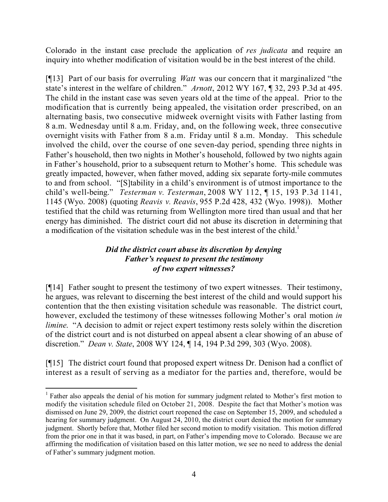Colorado in the instant case preclude the application of *res judicata* and require an inquiry into whether modification of visitation would be in the best interest of the child.

[¶13] Part of our basis for overruling *Watt* was our concern that it marginalized "the state's interest in the welfare of children." *Arnott*, 2012 WY 167, ¶ 32, 293 P.3d at 495. The child in the instant case was seven years old at the time of the appeal. Prior to the modification that is currently being appealed, the visitation order prescribed, on an alternating basis, two consecutive midweek overnight visits with Father lasting from 8 a.m. Wednesday until 8 a.m. Friday, and, on the following week, three consecutive overnight visits with Father from 8 a.m. Friday until 8 a.m. Monday. This schedule involved the child, over the course of one seven-day period, spending three nights in Father's household, then two nights in Mother's household, followed by two nights again in Father's household, prior to a subsequent return to Mother's home. This schedule was greatly impacted, however, when father moved, adding six separate forty-mile commutes to and from school. "[S]tability in a child's environment is of utmost importance to the child's well-being." *Testerman v. Testerman*, 2008 WY 112, ¶ 15, 193 P.3d 1141, 1145 (Wyo. 2008) (quoting *Reavis v. Reavis*, 955 P.2d 428, 432 (Wyo. 1998)). Mother testified that the child was returning from Wellington more tired than usual and that her energy has diminished. The district court did not abuse its discretion in determining that a modification of the visitation schedule was in the best interest of the child.<sup>1</sup>

## *Did the district court abuse its discretion by denying Father's request to present the testimony of two expert witnesses?*

[¶14] Father sought to present the testimony of two expert witnesses. Their testimony, he argues, was relevant to discerning the best interest of the child and would support his contention that the then existing visitation schedule was reasonable. The district court, however, excluded the testimony of these witnesses following Mother's oral motion *in limine.* "A decision to admit or reject expert testimony rests solely within the discretion of the district court and is not disturbed on appeal absent a clear showing of an abuse of discretion." *Dean v. State*, 2008 WY 124, ¶ 14, 194 P.3d 299, 303 (Wyo. 2008).

[¶15] The district court found that proposed expert witness Dr. Denison had a conflict of interest as a result of serving as a mediator for the parties and, therefore, would be

l

<sup>&</sup>lt;sup>1</sup> Father also appeals the denial of his motion for summary judgment related to Mother's first motion to modify the visitation schedule filed on October 21, 2008. Despite the fact that Mother's motion was dismissed on June 29, 2009, the district court reopened the case on September 15, 2009, and scheduled a hearing for summary judgment. On August 24, 2010, the district court denied the motion for summary judgment. Shortly before that, Mother filed her second motion to modify visitation. This motion differed from the prior one in that it was based, in part, on Father's impending move to Colorado. Because we are affirming the modification of visitation based on this latter motion, we see no need to address the denial of Father's summary judgment motion.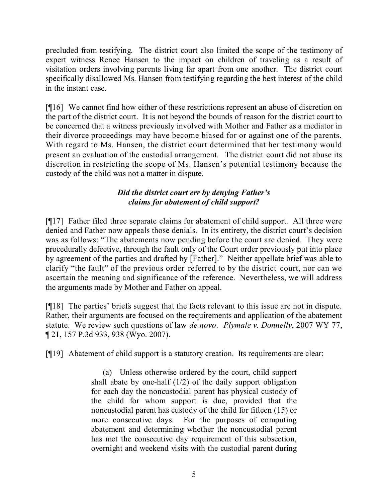precluded from testifying. The district court also limited the scope of the testimony of expert witness Renee Hansen to the impact on children of traveling as a result of visitation orders involving parents living far apart from one another. The district court specifically disallowed Ms. Hansen from testifying regarding the best interest of the child in the instant case.

[¶16] We cannot find how either of these restrictions represent an abuse of discretion on the part of the district court. It is not beyond the bounds of reason for the district court to be concerned that a witness previously involved with Mother and Father as a mediator in their divorce proceedings may have become biased for or against one of the parents. With regard to Ms. Hansen, the district court determined that her testimony would present an evaluation of the custodial arrangement. The district court did not abuse its discretion in restricting the scope of Ms. Hansen's potential testimony because the custody of the child was not a matter in dispute.

# *Did the district court err by denying Father's claims for abatement of child support?*

[¶17] Father filed three separate claims for abatement of child support. All three were denied and Father now appeals those denials. In its entirety, the district court's decision was as follows: "The abatements now pending before the court are denied. They were procedurally defective, through the fault only of the Court order previously put into place by agreement of the parties and drafted by [Father]." Neither appellate brief was able to clarify "the fault" of the previous order referred to by the district court, nor can we ascertain the meaning and significance of the reference. Nevertheless, we will address the arguments made by Mother and Father on appeal.

[¶18] The parties' briefs suggest that the facts relevant to this issue are not in dispute. Rather, their arguments are focused on the requirements and application of the abatement statute. We review such questions of law *de novo*. *Plymale v. Donnelly*, 2007 WY 77, ¶ 21, 157 P.3d 933, 938 (Wyo. 2007).

[¶19] Abatement of child support is a statutory creation. Its requirements are clear:

(a) Unless otherwise ordered by the court, child support shall abate by one-half (1/2) of the daily support obligation for each day the noncustodial parent has physical custody of the child for whom support is due, provided that the noncustodial parent has custody of the child for fifteen (15) or more consecutive days. For the purposes of computing abatement and determining whether the noncustodial parent has met the consecutive day requirement of this subsection, overnight and weekend visits with the custodial parent during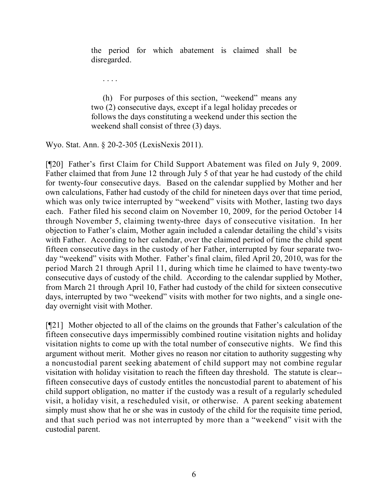the period for which abatement is claimed shall be disregarded.

. . . .

(h) For purposes of this section, "weekend" means any two (2) consecutive days, except if a legal holiday precedes or follows the days constituting a weekend under this section the weekend shall consist of three (3) days.

Wyo. Stat. Ann. § 20-2-305 (LexisNexis 2011).

[¶20] Father's first Claim for Child Support Abatement was filed on July 9, 2009. Father claimed that from June 12 through July 5 of that year he had custody of the child for twenty-four consecutive days. Based on the calendar supplied by Mother and her own calculations, Father had custody of the child for nineteen days over that time period, which was only twice interrupted by "weekend" visits with Mother, lasting two days each. Father filed his second claim on November 10, 2009, for the period October 14 through November 5, claiming twenty-three days of consecutive visitation. In her objection to Father's claim, Mother again included a calendar detailing the child's visits with Father. According to her calendar, over the claimed period of time the child spent fifteen consecutive days in the custody of her Father, interrupted by four separate twoday "weekend" visits with Mother. Father's final claim, filed April 20, 2010, was for the period March 21 through April 11, during which time he claimed to have twenty-two consecutive days of custody of the child. According to the calendar supplied by Mother, from March 21 through April 10, Father had custody of the child for sixteen consecutive days, interrupted by two "weekend" visits with mother for two nights, and a single oneday overnight visit with Mother.

[¶21] Mother objected to all of the claims on the grounds that Father's calculation of the fifteen consecutive days impermissibly combined routine visitation nights and holiday visitation nights to come up with the total number of consecutive nights. We find this argument without merit. Mother gives no reason nor citation to authority suggesting why a noncustodial parent seeking abatement of child support may not combine regular visitation with holiday visitation to reach the fifteen day threshold. The statute is clear- fifteen consecutive days of custody entitles the noncustodial parent to abatement of his child support obligation, no matter if the custody was a result of a regularly scheduled visit, a holiday visit, a rescheduled visit, or otherwise. A parent seeking abatement simply must show that he or she was in custody of the child for the requisite time period, and that such period was not interrupted by more than a "weekend" visit with the custodial parent.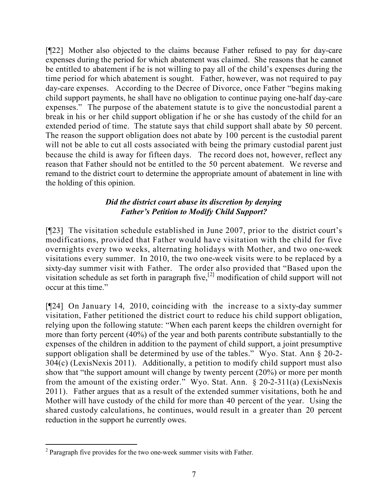[¶22] Mother also objected to the claims because Father refused to pay for day-care expenses during the period for which abatement was claimed. She reasons that he cannot be entitled to abatement if he is not willing to pay all of the child's expenses during the time period for which abatement is sought. Father, however, was not required to pay day-care expenses. According to the Decree of Divorce, once Father "begins making child support payments, he shall have no obligation to continue paying one-half day-care expenses." The purpose of the abatement statute is to give the noncustodial parent a break in his or her child support obligation if he or she has custody of the child for an extended period of time. The statute says that child support shall abate by 50 percent. The reason the support obligation does not abate by 100 percent is the custodial parent will not be able to cut all costs associated with being the primary custodial parent just because the child is away for fifteen days. The record does not, however, reflect any reason that Father should not be entitled to the 50 percent abatement. We reverse and remand to the district court to determine the appropriate amount of abatement in line with the holding of this opinion.

## *Did the district court abuse its discretion by denying Father's Petition to Modify Child Support?*

[¶23] The visitation schedule established in June 2007, prior to the district court's modifications, provided that Father would have visitation with the child for five overnights every two weeks, alternating holidays with Mother, and two one-week visitations every summer. In 2010, the two one-week visits were to be replaced by a sixty-day summer visit with Father. The order also provided that "Based upon the visitation schedule as set forth in paragraph five,<sup>[2]</sup> modification of child support will not occur at this time."

[¶24] On January 14, 2010, coinciding with the increase to a sixty-day summer visitation, Father petitioned the district court to reduce his child support obligation, relying upon the following statute: "When each parent keeps the children overnight for more than forty percent (40%) of the year and both parents contribute substantially to the expenses of the children in addition to the payment of child support, a joint presumptive support obligation shall be determined by use of the tables." Wyo. Stat. Ann § 20-2- 304(c) (LexisNexis 2011). Additionally, a petition to modify child support must also show that "the support amount will change by twenty percent (20%) or more per month from the amount of the existing order." Wyo. Stat. Ann. § 20-2-311(a) (LexisNexis 2011). Father argues that as a result of the extended summer visitations, both he and Mother will have custody of the child for more than 40 percent of the year. Using the shared custody calculations, he continues, would result in a greater than 20 percent reduction in the support he currently owes.

l <sup>2</sup> Paragraph five provides for the two one-week summer visits with Father.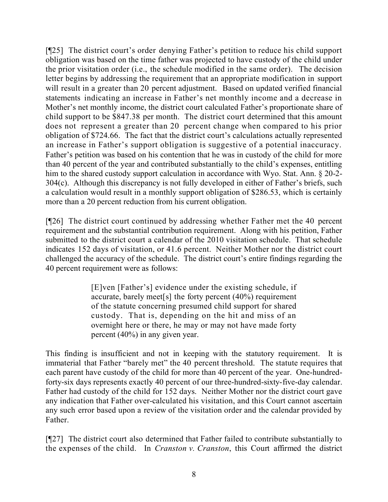[¶25] The district court's order denying Father's petition to reduce his child support obligation was based on the time father was projected to have custody of the child under the prior visitation order (i.e., the schedule modified in the same order). The decision letter begins by addressing the requirement that an appropriate modification in support will result in a greater than 20 percent adjustment. Based on updated verified financial statements indicating an increase in Father's net monthly income and a decrease in Mother's net monthly income, the district court calculated Father's proportionate share of child support to be \$847.38 per month. The district court determined that this amount does not represent a greater than 20 percent change when compared to his prior obligation of \$724.66. The fact that the district court's calculations actually represented an increase in Father's support obligation is suggestive of a potential inaccuracy. Father's petition was based on his contention that he was in custody of the child for more than 40 percent of the year and contributed substantially to the child's expenses, entitling him to the shared custody support calculation in accordance with Wyo. Stat. Ann. § 20-2- 304(c). Although this discrepancy is not fully developed in either of Father's briefs, such a calculation would result in a monthly support obligation of \$286.53, which is certainly more than a 20 percent reduction from his current obligation.

[¶26] The district court continued by addressing whether Father met the 40 percent requirement and the substantial contribution requirement. Along with his petition, Father submitted to the district court a calendar of the 2010 visitation schedule. That schedule indicates 152 days of visitation, or 41.6 percent. Neither Mother nor the district court challenged the accuracy of the schedule. The district court's entire findings regarding the 40 percent requirement were as follows:

> [E]ven [Father's] evidence under the existing schedule, if accurate, barely meet[s] the forty percent (40%) requirement of the statute concerning presumed child support for shared custody. That is, depending on the hit and miss of an overnight here or there, he may or may not have made forty percent (40%) in any given year.

This finding is insufficient and not in keeping with the statutory requirement. It is immaterial that Father "barely met" the 40 percent threshold. The statute requires that each parent have custody of the child for more than 40 percent of the year. One-hundredforty-six days represents exactly 40 percent of our three-hundred-sixty-five-day calendar. Father had custody of the child for 152 days. Neither Mother nor the district court gave any indication that Father over-calculated his visitation, and this Court cannot ascertain any such error based upon a review of the visitation order and the calendar provided by Father.

[¶27] The district court also determined that Father failed to contribute substantially to the expenses of the child. In *Cranston v. Cranston*, this Court affirmed the district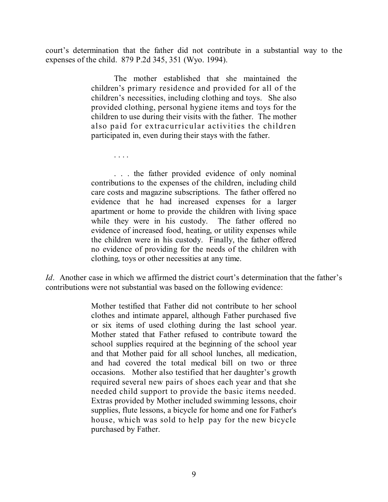court's determination that the father did not contribute in a substantial way to the expenses of the child. 879 P.2d 345, 351 (Wyo. 1994).

> The mother established that she maintained the children's primary residence and provided for all of the children's necessities, including clothing and toys. She also provided clothing, personal hygiene items and toys for the children to use during their visits with the father. The mother also paid for extracurricular activities the children participated in, even during their stays with the father.

> > . . . .

. . . the father provided evidence of only nominal contributions to the expenses of the children, including child care costs and magazine subscriptions. The father offered no evidence that he had increased expenses for a larger apartment or home to provide the children with living space while they were in his custody. The father offered no evidence of increased food, heating, or utility expenses while the children were in his custody. Finally, the father offered no evidence of providing for the needs of the children with clothing, toys or other necessities at any time.

*Id.* Another case in which we affirmed the district court's determination that the father's contributions were not substantial was based on the following evidence:

> Mother testified that Father did not contribute to her school clothes and intimate apparel, although Father purchased five or six items of used clothing during the last school year. Mother stated that Father refused to contribute toward the school supplies required at the beginning of the school year and that Mother paid for all school lunches, all medication, and had covered the total medical bill on two or three occasions. Mother also testified that her daughter's growth required several new pairs of shoes each year and that she needed child support to provide the basic items needed. Extras provided by Mother included swimming lessons, choir supplies, flute lessons, a bicycle for home and one for Father's house, which was sold to help pay for the new bicycle purchased by Father.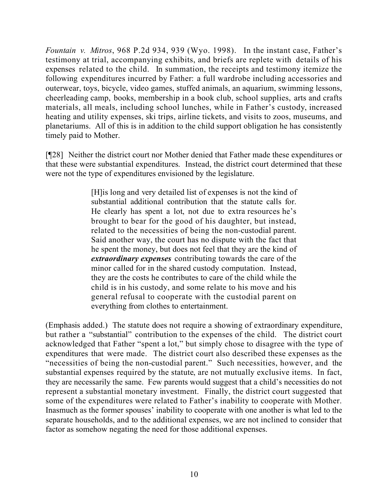*Fountain v. Mitros*, 968 P.2d 934, 939 (Wyo. 1998). In the instant case, Father's testimony at trial, accompanying exhibits, and briefs are replete with details of his expenses related to the child. In summation, the receipts and testimony itemize the following expenditures incurred by Father: a full wardrobe including accessories and outerwear, toys, bicycle, video games, stuffed animals, an aquarium, swimming lessons, cheerleading camp, books, membership in a book club, school supplies, arts and crafts materials, all meals, including school lunches, while in Father's custody, increased heating and utility expenses, ski trips, airline tickets, and visits to zoos, museums, and planetariums. All of this is in addition to the child support obligation he has consistently timely paid to Mother.

[¶28] Neither the district court nor Mother denied that Father made these expenditures or that these were substantial expenditures. Instead, the district court determined that these were not the type of expenditures envisioned by the legislature.

> [H]is long and very detailed list of expenses is not the kind of substantial additional contribution that the statute calls for. He clearly has spent a lot, not due to extra resources he's brought to bear for the good of his daughter, but instead, related to the necessities of being the non-custodial parent. Said another way, the court has no dispute with the fact that he spent the money, but does not feel that they are the kind of *extraordinary expenses* contributing towards the care of the minor called for in the shared custody computation. Instead, they are the costs he contributes to care of the child while the child is in his custody, and some relate to his move and his general refusal to cooperate with the custodial parent on everything from clothes to entertainment.

(Emphasis added.) The statute does not require a showing of extraordinary expenditure, but rather a "substantial" contribution to the expenses of the child. The district court acknowledged that Father "spent a lot," but simply chose to disagree with the type of expenditures that were made. The district court also described these expenses as the "necessities of being the non-custodial parent." Such necessities, however, and the substantial expenses required by the statute, are not mutually exclusive items. In fact, they are necessarily the same. Few parents would suggest that a child's necessities do not represent a substantial monetary investment. Finally, the district court suggested that some of the expenditures were related to Father's inability to cooperate with Mother. Inasmuch as the former spouses' inability to cooperate with one another is what led to the separate households, and to the additional expenses, we are not inclined to consider that factor as somehow negating the need for those additional expenses.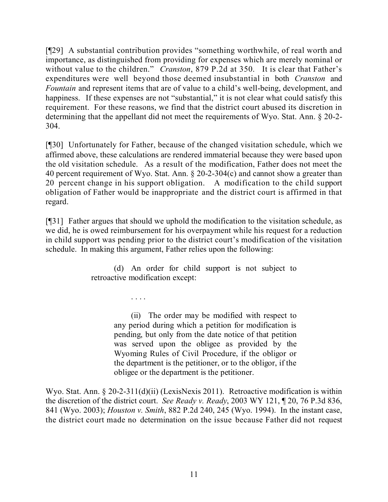[¶29] A substantial contribution provides "something worthwhile, of real worth and importance, as distinguished from providing for expenses which are merely nominal or without value to the children." *Cranston*, 879 P.2d at 350. It is clear that Father's expenditures were well beyond those deemed insubstantial in both *Cranston* and *Fountain* and represent items that are of value to a child's well-being, development, and happiness. If these expenses are not "substantial," it is not clear what could satisfy this requirement. For these reasons, we find that the district court abused its discretion in determining that the appellant did not meet the requirements of Wyo. Stat. Ann. § 20-2- 304.

[¶30] Unfortunately for Father, because of the changed visitation schedule, which we affirmed above, these calculations are rendered immaterial because they were based upon the old visitation schedule. As a result of the modification, Father does not meet the 40 percent requirement of Wyo. Stat. Ann. § 20-2-304(c) and cannot show a greater than 20 percent change in his support obligation. A modification to the child support obligation of Father would be inappropriate and the district court is affirmed in that regard.

[¶31] Father argues that should we uphold the modification to the visitation schedule, as we did, he is owed reimbursement for his overpayment while his request for a reduction in child support was pending prior to the district court's modification of the visitation schedule. In making this argument, Father relies upon the following:

> (d) An order for child support is not subject to retroactive modification except:

> > . . . .

(ii) The order may be modified with respect to any period during which a petition for modification is pending, but only from the date notice of that petition was served upon the obligee as provided by the Wyoming Rules of Civil Procedure, if the obligor or the department is the petitioner, or to the obligor, if the obligee or the department is the petitioner.

Wyo. Stat. Ann. § 20-2-311(d)(ii) (LexisNexis 2011). Retroactive modification is within the discretion of the district court. *See Ready v. Ready*, 2003 WY 121, ¶ 20, 76 P.3d 836, 841 (Wyo. 2003); *Houston v. Smith*, 882 P.2d 240, 245 (Wyo. 1994). In the instant case, the district court made no determination on the issue because Father did not request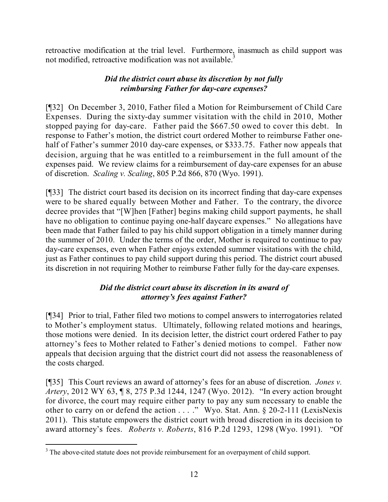retroactive modification at the trial level. Furthermore, inasmuch as child support was not modified, retroactive modification was not available.<sup>3</sup>

# *Did the district court abuse its discretion by not fully reimbursing Father for day-care expenses?*

[¶32] On December 3, 2010, Father filed a Motion for Reimbursement of Child Care Expenses. During the sixty-day summer visitation with the child in 2010, Mother stopped paying for day-care. Father paid the \$667.50 owed to cover this debt. In response to Father's motion, the district court ordered Mother to reimburse Father onehalf of Father's summer 2010 day-care expenses, or \$333.75. Father now appeals that decision, arguing that he was entitled to a reimbursement in the full amount of the expenses paid. We review claims for a reimbursement of day-care expenses for an abuse of discretion. *Scaling v. Scaling*, 805 P.2d 866, 870 (Wyo. 1991).

[¶33] The district court based its decision on its incorrect finding that day-care expenses were to be shared equally between Mother and Father. To the contrary, the divorce decree provides that "[W]hen [Father] begins making child support payments, he shall have no obligation to continue paying one-half daycare expenses." No allegations have been made that Father failed to pay his child support obligation in a timely manner during the summer of 2010. Under the terms of the order, Mother is required to continue to pay day-care expenses, even when Father enjoys extended summer visitations with the child, just as Father continues to pay child support during this period. The district court abused its discretion in not requiring Mother to reimburse Father fully for the day-care expenses.

## *Did the district court abuse its discretion in its award of attorney's fees against Father?*

[¶34] Prior to trial, Father filed two motions to compel answers to interrogatories related to Mother's employment status. Ultimately, following related motions and hearings, those motions were denied. In its decision letter, the district court ordered Father to pay attorney's fees to Mother related to Father's denied motions to compel. Father now appeals that decision arguing that the district court did not assess the reasonableness of the costs charged.

[¶35] This Court reviews an award of attorney's fees for an abuse of discretion. *Jones v. Artery*, 2012 WY 63, ¶ 8, 275 P.3d 1244, 1247 (Wyo. 2012). "In every action brought for divorce, the court may require either party to pay any sum necessary to enable the other to carry on or defend the action . . . ." Wyo. Stat. Ann. § 20-2-111 (LexisNexis 2011). This statute empowers the district court with broad discretion in its decision to award attorney's fees. *Roberts v. Roberts*, 816 P.2d 1293, 1298 (Wyo. 1991). "Of

l <sup>3</sup> The above-cited statute does not provide reimbursement for an overpayment of child support.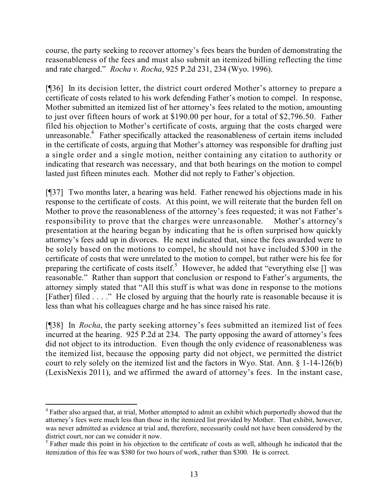course, the party seeking to recover attorney's fees bears the burden of demonstrating the reasonableness of the fees and must also submit an itemized billing reflecting the time and rate charged." *Rocha v. Rocha*, 925 P.2d 231, 234 (Wyo. 1996).

[¶36] In its decision letter, the district court ordered Mother's attorney to prepare a certificate of costs related to his work defending Father's motion to compel. In response, Mother submitted an itemized list of her attorney's fees related to the motion, amounting to just over fifteen hours of work at \$190.00 per hour, for a total of \$2,796.50. Father filed his objection to Mother's certificate of costs, arguing that the costs charged were unreasonable.<sup>4</sup> Father specifically attacked the reasonableness of certain items included in the certificate of costs, arguing that Mother's attorney was responsible for drafting just a single order and a single motion, neither containing any citation to authority or indicating that research was necessary, and that both hearings on the motion to compel lasted just fifteen minutes each. Mother did not reply to Father's objection.

[¶37] Two months later, a hearing was held. Father renewed his objections made in his response to the certificate of costs. At this point, we will reiterate that the burden fell on Mother to prove the reasonableness of the attorney's fees requested; it was not Father's responsibility to prove that the charges were unreasonable. Mother's attorney's presentation at the hearing began by indicating that he is often surprised how quickly attorney's fees add up in divorces. He next indicated that, since the fees awarded were to be solely based on the motions to compel, he should not have included \$300 in the certificate of costs that were unrelated to the motion to compel, but rather were his fee for preparing the certificate of costs itself.<sup>5</sup> However, he added that "everything else  $[]$  was reasonable." Rather than support that conclusion or respond to Father's arguments, the attorney simply stated that "All this stuff is what was done in response to the motions [Father] filed . . . ." He closed by arguing that the hourly rate is reasonable because it is less than what his colleagues charge and he has since raised his rate.

[¶38] In *Rocha*, the party seeking attorney's fees submitted an itemized list of fees incurred at the hearing. 925 P.2d at 234. The party opposing the award of attorney's fees did not object to its introduction. Even though the only evidence of reasonableness was the itemized list, because the opposing party did not object, we permitted the district court to rely solely on the itemized list and the factors in Wyo. Stat. Ann. § 1-14-126(b) (LexisNexis 2011), and we affirmed the award of attorney's fees. In the instant case,

l <sup>4</sup> Father also argued that, at trial, Mother attempted to admit an exhibit which purportedly showed that the attorney's fees were much less than those in the itemized list provided by Mother. That exhibit, however, was never admitted as evidence at trial and, therefore, necessarily could not have been considered by the district court, nor can we consider it now.

<sup>&</sup>lt;sup>5</sup> Father made this point in his objection to the certificate of costs as well, although he indicated that the itemization of this fee was \$380 for two hours of work, rather than \$300. He is correct.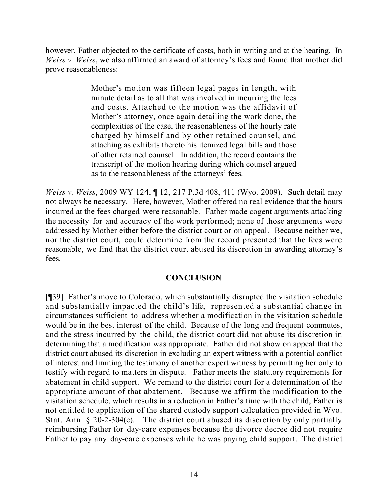however, Father objected to the certificate of costs, both in writing and at the hearing. In *Weiss v. Weiss*, we also affirmed an award of attorney's fees and found that mother did prove reasonableness:

> Mother's motion was fifteen legal pages in length, with minute detail as to all that was involved in incurring the fees and costs. Attached to the motion was the affidavit of Mother's attorney, once again detailing the work done, the complexities of the case, the reasonableness of the hourly rate charged by himself and by other retained counsel, and attaching as exhibits thereto his itemized legal bills and those of other retained counsel. In addition, the record contains the transcript of the motion hearing during which counsel argued as to the reasonableness of the attorneys' fees.

*Weiss v. Weiss*, 2009 WY 124, ¶ 12, 217 P.3d 408, 411 (Wyo. 2009). Such detail may not always be necessary. Here, however, Mother offered no real evidence that the hours incurred at the fees charged were reasonable. Father made cogent arguments attacking the necessity for and accuracy of the work performed; none of those arguments were addressed by Mother either before the district court or on appeal. Because neither we, nor the district court, could determine from the record presented that the fees were reasonable, we find that the district court abused its discretion in awarding attorney's fees.

## **CONCLUSION**

[¶39] Father's move to Colorado, which substantially disrupted the visitation schedule and substantially impacted the child's life, represented a substantial change in circumstances sufficient to address whether a modification in the visitation schedule would be in the best interest of the child. Because of the long and frequent commutes, and the stress incurred by the child, the district court did not abuse its discretion in determining that a modification was appropriate. Father did not show on appeal that the district court abused its discretion in excluding an expert witness with a potential conflict of interest and limiting the testimony of another expert witness by permitting her only to testify with regard to matters in dispute. Father meets the statutory requirements for abatement in child support. We remand to the district court for a determination of the appropriate amount of that abatement. Because we affirm the modification to the visitation schedule, which results in a reduction in Father's time with the child, Father is not entitled to application of the shared custody support calculation provided in Wyo. Stat. Ann. § 20-2-304(c). The district court abused its discretion by only partially reimbursing Father for day-care expenses because the divorce decree did not require Father to pay any day-care expenses while he was paying child support. The district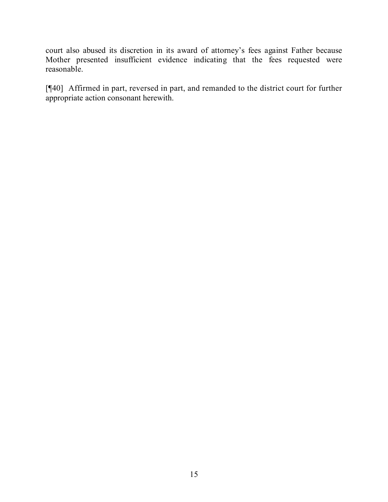court also abused its discretion in its award of attorney's fees against Father because Mother presented insufficient evidence indicating that the fees requested were reasonable.

[¶40] Affirmed in part, reversed in part, and remanded to the district court for further appropriate action consonant herewith.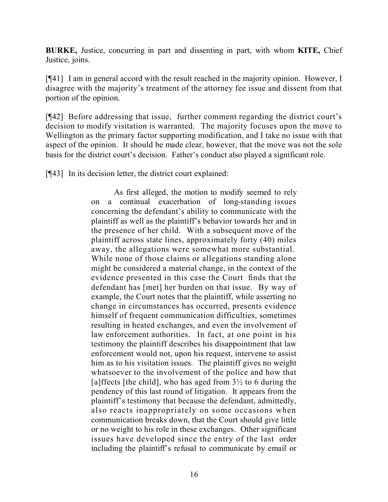**BURKE,** Justice, concurring in part and dissenting in part, with whom **KITE,** Chief Justice, joins.

[¶41] I am in general accord with the result reached in the majority opinion. However, I disagree with the majority's treatment of the attorney fee issue and dissent from that portion of the opinion.

[¶42] Before addressing that issue, further comment regarding the district court's decision to modify visitation is warranted. The majority focuses upon the move to Wellington as the primary factor supporting modification, and I take no issue with that aspect of the opinion. It should be made clear, however, that the move was not the sole basis for the district court's decision. Father's conduct also played a significant role.

[¶43] In its decision letter, the district court explained:

As first alleged, the motion to modify seemed to rely on a continual exacerbation of long-standing issues concerning the defendant's ability to communicate with the plaintiff as well as the plaintiff's behavior towards her and in the presence of her child. With a subsequent move of the plaintiff across state lines, approximately forty (40) miles away, the allegations were somewhat more substantial. While none of those claims or allegations standing alone might be considered a material change, in the context of the evidence presented in this case the Court finds that the defendant has [met] her burden on that issue. By way of example, the Court notes that the plaintiff, while asserting no change in circumstances has occurred, presents evidence himself of frequent communication difficulties, sometimes resulting in heated exchanges, and even the involvement of law enforcement authorities. In fact, at one point in his testimony the plaintiff describes his disappointment that law enforcement would not, upon his request, intervene to assist him as to his visitation issues. The plaintiff gives no weight whatsoever to the involvement of the police and how that [a]ffects [the child], who has aged from  $3\frac{1}{2}$  to 6 during the pendency of this last round of litigation. It appears from the plaintiff's testimony that because the defendant, admittedly, also reacts inappropriately on some occasions when communication breaks down, that the Court should give little or no weight to his role in these exchanges. Other significant issues have developed since the entry of the last order including the plaintiff's refusal to communicate by email or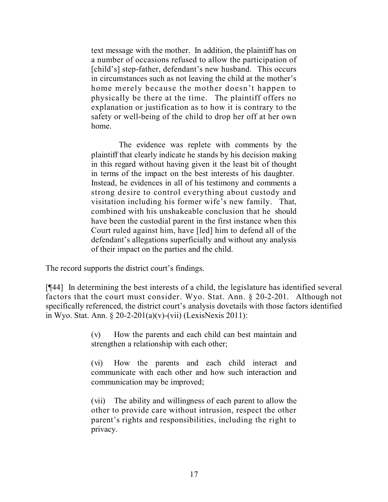text message with the mother. In addition, the plaintiff has on a number of occasions refused to allow the participation of [child's] step-father, defendant's new husband. This occurs in circumstances such as not leaving the child at the mother's home merely because the mother doesn't happen to physically be there at the time. The plaintiff offers no explanation or justification as to how it is contrary to the safety or well-being of the child to drop her off at her own home.

The evidence was replete with comments by the plaintiff that clearly indicate he stands by his decision making in this regard without having given it the least bit of thought in terms of the impact on the best interests of his daughter. Instead, he evidences in all of his testimony and comments a strong desire to control everything about custody and visitation including his former wife's new family. That, combined with his unshakeable conclusion that he should have been the custodial parent in the first instance when this Court ruled against him, have [led] him to defend all of the defendant's allegations superficially and without any analysis of their impact on the parties and the child.

The record supports the district court's findings.

[¶44] In determining the best interests of a child, the legislature has identified several factors that the court must consider. Wyo. Stat. Ann. § 20-2-201. Although not specifically referenced, the district court's analysis dovetails with those factors identified in Wyo. Stat. Ann. § 20-2-201(a)(v)-(vii) (LexisNexis 2011):

> (v) How the parents and each child can best maintain and strengthen a relationship with each other;

> (vi) How the parents and each child interact and communicate with each other and how such interaction and communication may be improved;

> (vii) The ability and willingness of each parent to allow the other to provide care without intrusion, respect the other parent's rights and responsibilities, including the right to privacy.